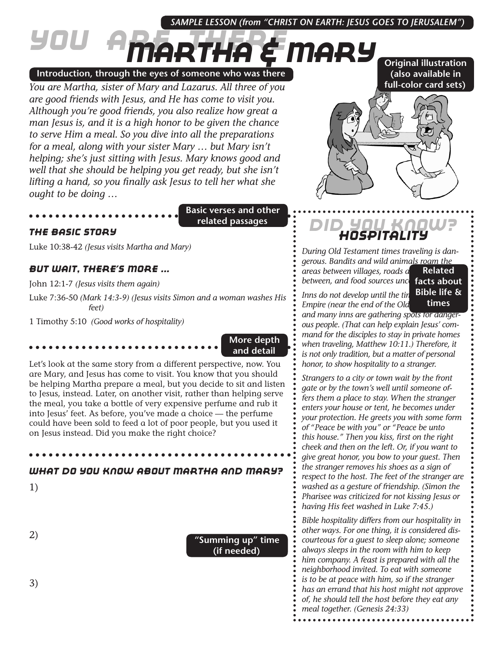### *SAMPLE LESSON (from "CHRIST ON EARTH: JESUS GOES TO JERUSALEM")*

# *You Are There Martha & Mary*

**Introduction, through the eyes of someone who was there**

*You are Martha, sister of Mary and Lazarus. All three of you are good friends with Jesus, and He has come to visit you. Although you're good friends, you also realize how great a man Jesus is, and it is a high honor to be given the chance to serve Him a meal. So you dive into all the preparations for a meal, along with your sister Mary … but Mary isn't helping; she's just sitting with Jesus. Mary knows good and well that she should be helping you get ready, but she isn't lifting a hand, so you finally ask Jesus to tell her what she ought to be doing …*

**Basic verses and other related passages**

#### *The Basic Story*

Luke 10:38-42 *(Jesus visits Martha and Mary)*

#### *But Wait, There's More ...*

John 12:1-7 *(Jesus visits them again)*

Luke 7:36-50 *(Mark 14:3-9) (Jesus visits Simon and a woman washes His feet)*

1 Timothy 5:10 *(Good works of hospitality)*

**More depth and detail**

Let's look at the same story from a different perspective, now. You are Mary, and Jesus has come to visit. You know that you should be helping Martha prepare a meal, but you decide to sit and listen to Jesus, instead. Later, on another visit, rather than helping serve the meal, you take a bottle of very expensive perfume and rub it into Jesus' feet. As before, you've made a choice — the perfume could have been sold to feed a lot of poor people, but you used it on Jesus instead. Did you make the right choice?

### *What Do You Know About Martha and Mary?*

1)

2)

**"Summing up" time (if needed)**

## **(also available in full-color card sets)**

**Original illustration** 



## *Did You Know? Hospitality*

*During Old Testament times traveling is dangerous. Bandits and wild animals roam the areas between villages, roads are few and far*  between, and food sources uncertaints about **Related** 

**Bible life &** 

*Inns do not develop until the tin Empire (near the end of the Old and many inns are gathering spots for dangerous people. (That can help explain Jesus' command for the disciples to stay in private homes when traveling, Matthew 10:11.) Therefore, it is not only tradition, but a matter of personal honor, to show hospitality to a stranger.* **times**

*Strangers to a city or town wait by the front gate or by the town's well until someone offers them a place to stay. When the stranger enters your house or tent, he becomes under your protection. He greets you with some form of "Peace be with you" or "Peace be unto this house." Then you kiss, first on the right cheek and then on the left. Or, if you want to give great honor, you bow to your guest. Then the stranger removes his shoes as a sign of respect to the host. The feet of the stranger are washed as a gesture of friendship. (Simon the Pharisee was criticized for not kissing Jesus or having His feet washed in Luke 7:45.)* 

*Bible hospitality differs from our hospitality in other ways. For one thing, it is considered discourteous for a guest to sleep alone; someone always sleeps in the room with him to keep him company. A feast is prepared with all the neighborhood invited. To eat with someone is to be at peace with him, so if the stranger has an errand that his host might not approve of, he should tell the host before they eat any meal together. (Genesis 24:33)* 

3)